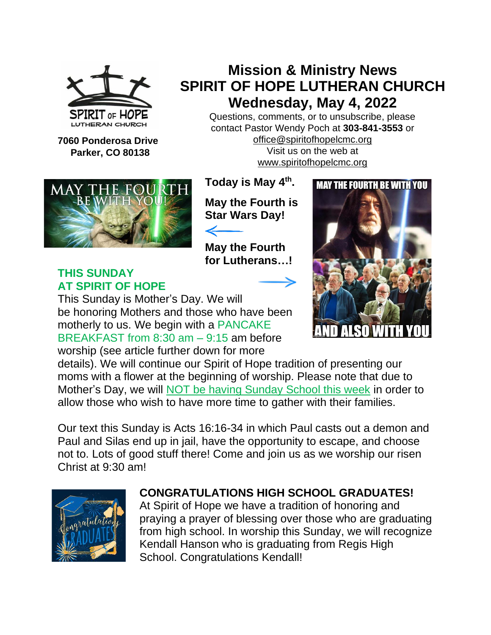

**7060 Ponderosa Drive Parker, CO 80138**

## **Mission & Ministry News SPIRIT OF HOPE LUTHERAN CHURCH Wednesday, May 4, 2022**

Questions, comments, or to unsubscribe, please contact Pastor Wendy Poch at **303-841-3553** or [office@spiritofhopelcmc.org](mailto:office@spiritofhopelcmc.org) Visit us on the web at [www.spiritofhopelcmc.org](http://www.spiritofhopelcmc.org/)



**THIS SUNDAY AT SPIRIT OF HOPE** **Today is May 4 th .**

**May the Fourth is Star Wars Day!**

**May the Fourth for Lutherans…!**



This Sunday is Mother's Day. We will be honoring Mothers and those who have been motherly to us. We begin with a PANCAKE BREAKFAST from 8:30 am – 9:15 am before worship (see article further down for more

details). We will continue our Spirit of Hope tradition of presenting our moms with a flower at the beginning of worship. Please note that due to Mother's Day, we will NOT be having Sunday School this week in order to allow those who wish to have more time to gather with their families.

Our text this Sunday is Acts 16:16-34 in which Paul casts out a demon and Paul and Silas end up in jail, have the opportunity to escape, and choose not to. Lots of good stuff there! Come and join us as we worship our risen Christ at 9:30 am!



## **CONGRATULATIONS HIGH SCHOOL GRADUATES!**

At Spirit of Hope we have a tradition of honoring and praying a prayer of blessing over those who are graduating from high school. In worship this Sunday, we will recognize Kendall Hanson who is graduating from Regis High School. Congratulations Kendall!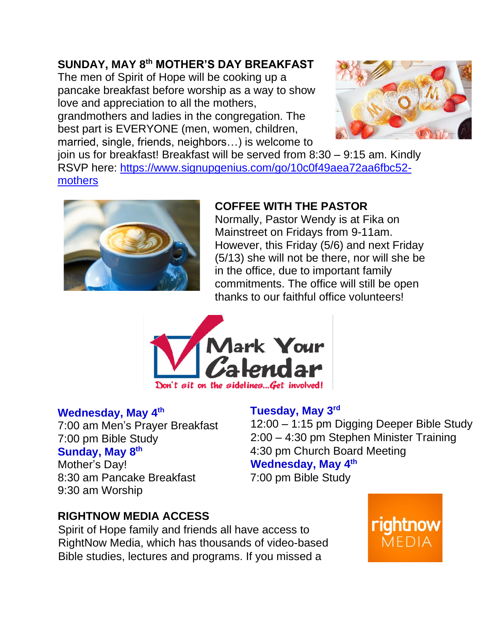## **SUNDAY, MAY 8th MOTHER'S DAY BREAKFAST**

The men of Spirit of Hope will be cooking up a pancake breakfast before worship as a way to show love and appreciation to all the mothers, grandmothers and ladies in the congregation. The best part is EVERYONE (men, women, children, married, single, friends, neighbors…) is welcome to



join us for breakfast! Breakfast will be served from 8:30 – 9:15 am. Kindly RSVP here: [https://www.signupgenius.com/go/10c0f49aea72aa6fbc52](https://www.signupgenius.com/go/10c0f49aea72aa6fbc52-mothers) [mothers](https://www.signupgenius.com/go/10c0f49aea72aa6fbc52-mothers)



## **COFFEE WITH THE PASTOR**

Normally, Pastor Wendy is at Fika on Mainstreet on Fridays from 9-11am. However, this Friday (5/6) and next Friday (5/13) she will not be there, nor will she be in the office, due to important family commitments. The office will still be open thanks to our faithful office volunteers!



### **Wednesday, May 4th**

9:30 am Worship

7:00 am Men's Prayer Breakfast 7:00 pm Bible Study **Sunday, May 8th** Mother's Day! 8:30 am Pancake Breakfast

**Tuesday, May 3rd**

12:00 – 1:15 pm Digging Deeper Bible Study 2:00 – 4:30 pm Stephen Minister Training 4:30 pm Church Board Meeting **Wednesday, May 4th**

7:00 pm Bible Study

### **RIGHTNOW MEDIA ACCESS**

Spirit of Hope family and friends all have access to RightNow Media, which has thousands of video-based Bible studies, lectures and programs. If you missed a

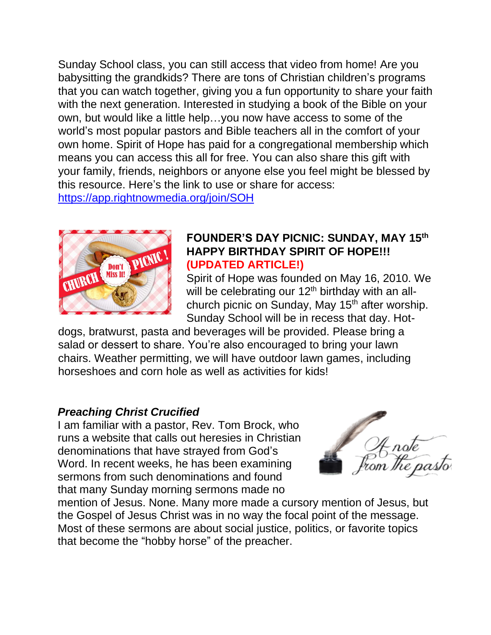Sunday School class, you can still access that video from home! Are you babysitting the grandkids? There are tons of Christian children's programs that you can watch together, giving you a fun opportunity to share your faith with the next generation. Interested in studying a book of the Bible on your own, but would like a little help…you now have access to some of the world's most popular pastors and Bible teachers all in the comfort of your own home. Spirit of Hope has paid for a congregational membership which means you can access this all for free. You can also share this gift with your family, friends, neighbors or anyone else you feel might be blessed by this resource. Here's the link to use or share for access: <https://app.rightnowmedia.org/join/SOH>



### **FOUNDER'S DAY PICNIC: SUNDAY, MAY 15th HAPPY BIRTHDAY SPIRIT OF HOPE!!! (UPDATED ARTICLE!)**

Spirit of Hope was founded on May 16, 2010. We will be celebrating our  $12<sup>th</sup>$  birthday with an allchurch picnic on Sunday, May  $15<sup>th</sup>$  after worship. Sunday School will be in recess that day. Hot-

dogs, bratwurst, pasta and beverages will be provided. Please bring a salad or dessert to share. You're also encouraged to bring your lawn chairs. Weather permitting, we will have outdoor lawn games, including horseshoes and corn hole as well as activities for kids!

### *Preaching Christ Crucified*

I am familiar with a pastor, Rev. Tom Brock, who runs a website that calls out heresies in Christian denominations that have strayed from God's Word. In recent weeks, he has been examining sermons from such denominations and found that many Sunday morning sermons made no

4 note<br>sm the pasto

mention of Jesus. None. Many more made a cursory mention of Jesus, but the Gospel of Jesus Christ was in no way the focal point of the message. Most of these sermons are about social justice, politics, or favorite topics that become the "hobby horse" of the preacher.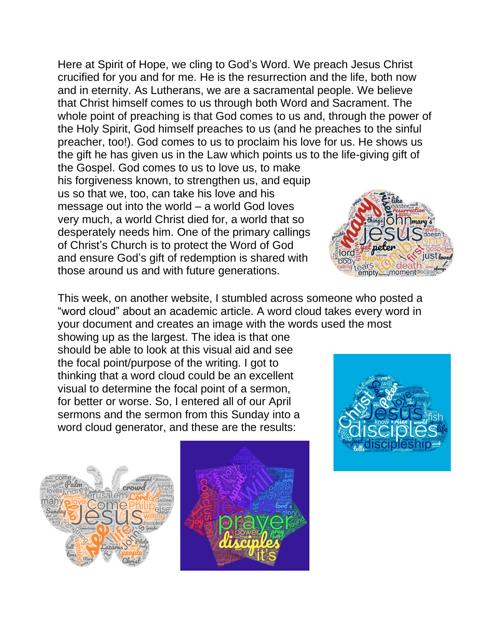Here at Spirit of Hope, we cling to God's Word. We preach Jesus Christ crucified for you and for me. He is the resurrection and the life, both now and in eternity. As Lutherans, we are a sacramental people. We believe that Christ himself comes to us through both Word and Sacrament. The whole point of preaching is that God comes to us and, through the power of the Holy Spirit, God himself preaches to us (and he preaches to the sinful preacher, too!). God comes to us to proclaim his love for us. He shows us the gift he has given us in the Law which points us to the life-giving gift of the Gospel. God comes to us to love us, to make his forgiveness known, to strengthen us, and equip us so that we, too, can take his love and his message out into the world – a world God loves very much, a world Christ died for, a world that so Onnmary desperately needs him. One of the primary callings of Christ's Church is to protect the Word of God and ensure God's gift of redemption is shared with those around us and with future generations.

This week, on another website, I stumbled across someone who posted a "word cloud" about an academic article. A word cloud takes every word in your document and creates an image with the words used the most

showing up as the largest. The idea is that one should be able to look at this visual aid and see the focal point/purpose of the writing. I got to thinking that a word cloud could be an excellent visual to determine the focal point of a sermon, for better or worse. So, I entered all of our April sermons and the sermon from this Sunday into a word cloud generator, and these are the results:





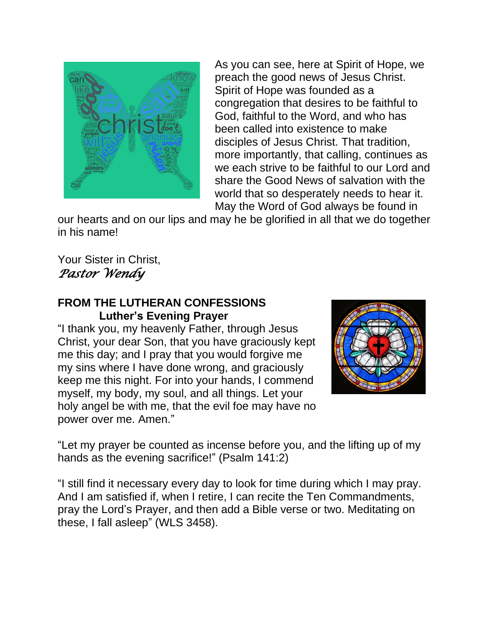

As you can see, here at Spirit of Hope, we preach the good news of Jesus Christ. Spirit of Hope was founded as a congregation that desires to be faithful to God, faithful to the Word, and who has been called into existence to make disciples of Jesus Christ. That tradition, more importantly, that calling, continues as we each strive to be faithful to our Lord and share the Good News of salvation with the world that so desperately needs to hear it. May the Word of God always be found in

our hearts and on our lips and may he be glorified in all that we do together in his name!

Your Sister in Christ, *Pastor Wendy* 

### **FROM THE LUTHERAN CONFESSIONS Luther's Evening Prayer**

"I thank you, my heavenly Father, through Jesus Christ, your dear Son, that you have graciously kept me this day; and I pray that you would forgive me my sins where I have done wrong, and graciously keep me this night. For into your hands, I commend myself, my body, my soul, and all things. Let your holy angel be with me, that the evil foe may have no power over me. Amen."



"Let my prayer be counted as incense before you, and the lifting up of my hands as the evening sacrifice!" (Psalm 141:2)

"I still find it necessary every day to look for time during which I may pray. And I am satisfied if, when I retire, I can recite the Ten Commandments, pray the Lord's Prayer, and then add a Bible verse or two. Meditating on these, I fall asleep" (WLS 3458).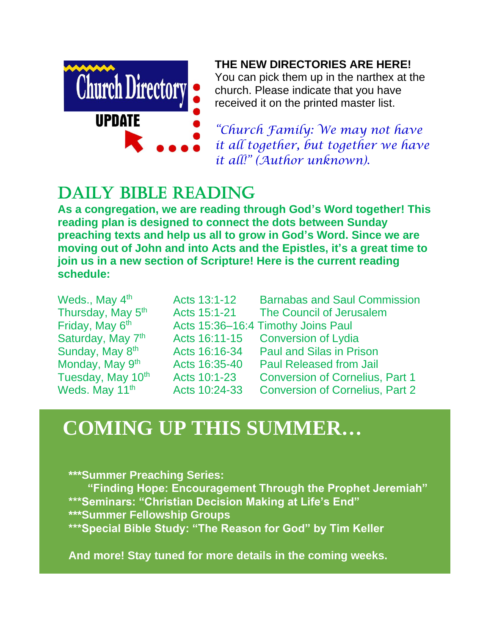

### **THE NEW DIRECTORIES ARE HERE!**

You can pick them up in the narthex at the church. Please indicate that you have received it on the printed master list.

*"Church Family: We may not have it all together, but together we have it all!" (Author unknown).*

# DAILY BIBLE READING

**As a congregation, we are reading through God's Word together! This reading plan is designed to connect the dots between Sunday preaching texts and help us all to grow in God's Word. Since we are moving out of John and into Acts and the Epistles, it's a great time to join us in a new section of Scripture! Here is the current reading schedule:**

| Weds., May 4 <sup>th</sup>    | Acts 13:1-12  | <b>Barnabas and Saul Commission</b>    |
|-------------------------------|---------------|----------------------------------------|
| Thursday, May 5 <sup>th</sup> | Acts 15:1-21  | The Council of Jerusalem               |
| Friday, May 6th               |               | Acts 15:36-16:4 Timothy Joins Paul     |
| Saturday, May 7 <sup>th</sup> |               | Acts 16:11-15 Conversion of Lydia      |
| Sunday, May 8th               | Acts 16:16-34 | <b>Paul and Silas in Prison</b>        |
| Monday, May 9 <sup>th</sup>   | Acts 16:35-40 | <b>Paul Released from Jail</b>         |
| Tuesday, May 10th             | Acts 10:1-23  | <b>Conversion of Cornelius, Part 1</b> |
| Weds. May 11 <sup>th</sup>    | Acts 10:24-33 | <b>Conversion of Cornelius, Part 2</b> |

# **COMING UP THIS SUMMER…**

**\*\*\*Summer Preaching Series: "Finding Hope: Encouragement Through the Prophet Jeremiah" \*\*\*Seminars: "Christian Decision Making at Life's End" \*\*\*Summer Fellowship Groups \*\*\*Special Bible Study: "The Reason for God" by Tim Keller**

**And more! Stay tuned for more details in the coming weeks.**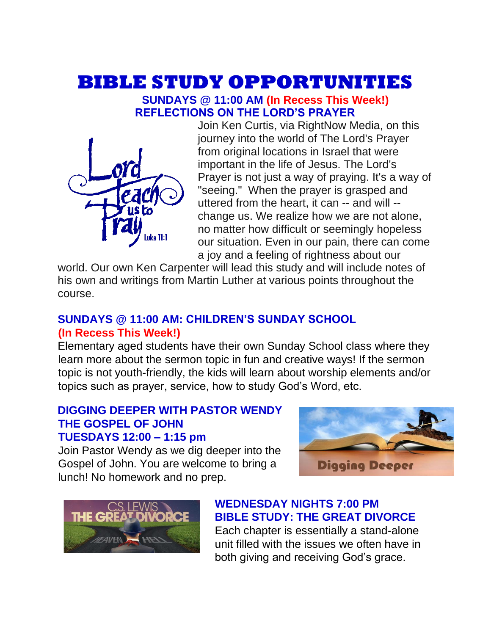# **BIBLE STUDY OPPORTUNITIES**

#### **SUNDAYS @ 11:00 AM (In Recess This Week!) REFLECTIONS ON THE LORD'S PRAYER**



Join Ken Curtis, via RightNow Media, on this journey into the world of The Lord's Prayer from original locations in Israel that were important in the life of Jesus. The Lord's Prayer is not just a way of praying. It's a way of "seeing." When the prayer is grasped and uttered from the heart, it can -- and will - change us. We realize how we are not alone, no matter how difficult or seemingly hopeless our situation. Even in our pain, there can come a joy and a feeling of rightness about our

world. Our own Ken Carpenter will lead this study and will include notes of his own and writings from Martin Luther at various points throughout the course.

### **SUNDAYS @ 11:00 AM: CHILDREN'S SUNDAY SCHOOL (In Recess This Week!)**

Elementary aged students have their own Sunday School class where they learn more about the sermon topic in fun and creative ways! If the sermon topic is not youth-friendly, the kids will learn about worship elements and/or topics such as prayer, service, how to study God's Word, etc.

### **DIGGING DEEPER WITH PASTOR WENDY THE GOSPEL OF JOHN TUESDAYS 12:00 – 1:15 pm**

Join Pastor Wendy as we dig deeper into the Gospel of John. You are welcome to bring a lunch! No homework and no prep.





## **WEDNESDAY NIGHTS 7:00 PM BIBLE STUDY: THE GREAT DIVORCE**

Each chapter is essentially a stand-alone unit filled with the issues we often have in both giving and receiving God's grace.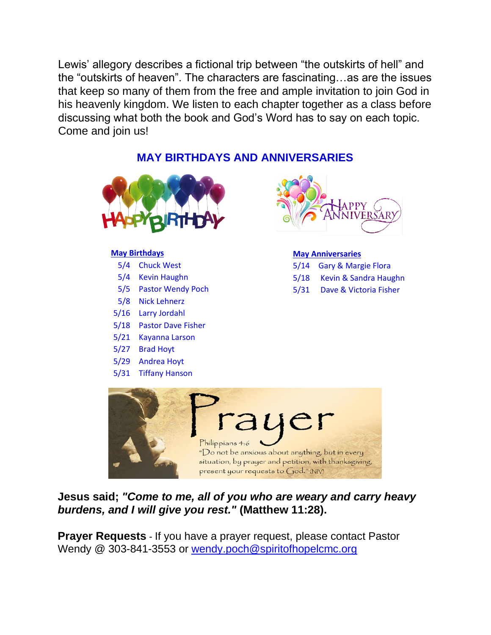Lewis' allegory describes a fictional trip between "the outskirts of hell" and the "outskirts of heaven". The characters are fascinating…as are the issues that keep so many of them from the free and ample invitation to join God in his heavenly kingdom. We listen to each chapter together as a class before discussing what both the book and God's Word has to say on each topic. Come and join us!

### **MAY BIRTHDAYS AND ANNIVERSARIES**



#### **May Birthdays**

- 5/4 Chuck West
- 5/4 Kevin Haughn
- 5/5 Pastor Wendy Poch
- 5/8 Nick Lehnerz
- 5/16 Larry Jordahl
- 5/18 Pastor Dave Fisher
- 5/21 Kayanna Larson
- 5/27 Brad Hoyt
- 5/29 Andrea Hoyt
- 5/31 Tiffany Hanson



#### **May Anniversaries**

- 5/14 Gary & Margie Flora
- 5/18 Kevin & Sandra Haughn
- 5/31 Dave & Victoria Fisher



**Jesus said;** *"Come to me, all of you who are weary and carry heavy burdens, and I will give you rest."* **(Matthew 11:28).**

**Prayer Requests** - If you have a prayer request, please contact Pastor Wendy @ 303-841-3553 or [wendy.poch@spiritofhopelcmc.org](mailto:wendy.poch@spiritofhopelcmc.org)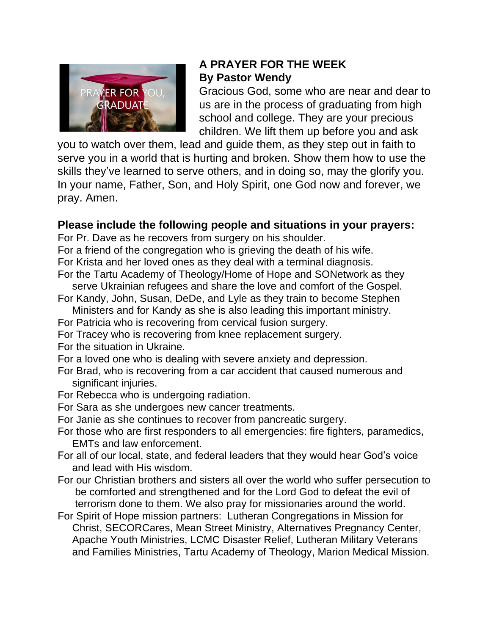

## **A PRAYER FOR THE WEEK By Pastor Wendy**

Gracious God, some who are near and dear to us are in the process of graduating from high school and college. They are your precious children. We lift them up before you and ask

you to watch over them, lead and guide them, as they step out in faith to serve you in a world that is hurting and broken. Show them how to use the skills they've learned to serve others, and in doing so, may the glorify you. In your name, Father, Son, and Holy Spirit, one God now and forever, we pray. Amen.

### **Please include the following people and situations in your prayers:**

For Pr. Dave as he recovers from surgery on his shoulder.

For a friend of the congregation who is grieving the death of his wife. For Krista and her loved ones as they deal with a terminal diagnosis.

- For the Tartu Academy of Theology/Home of Hope and SONetwork as they serve Ukrainian refugees and share the love and comfort of the Gospel.
- For Kandy, John, Susan, DeDe, and Lyle as they train to become Stephen Ministers and for Kandy as she is also leading this important ministry.
- 
- For Patricia who is recovering from cervical fusion surgery.
- For Tracey who is recovering from knee replacement surgery.
- For the situation in Ukraine.
- For a loved one who is dealing with severe anxiety and depression.
- For Brad, who is recovering from a car accident that caused numerous and significant injuries.
- For Rebecca who is undergoing radiation.
- For Sara as she undergoes new cancer treatments.
- For Janie as she continues to recover from pancreatic surgery.
- For those who are first responders to all emergencies: fire fighters, paramedics, EMTs and law enforcement.
- For all of our local, state, and federal leaders that they would hear God's voice and lead with His wisdom.
- For our Christian brothers and sisters all over the world who suffer persecution to be comforted and strengthened and for the Lord God to defeat the evil of terrorism done to them. We also pray for missionaries around the world.
- For Spirit of Hope mission partners: Lutheran Congregations in Mission for Christ, SECORCares, Mean Street Ministry, Alternatives Pregnancy Center, Apache Youth Ministries, LCMC Disaster Relief, Lutheran Military Veterans and Families Ministries, Tartu Academy of Theology, Marion Medical Mission.